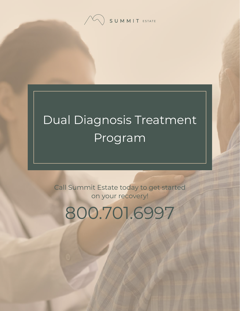SUMMIT ESTATE

# Dual Diagnosis Treatment Program

Call Summit Estate today to get started on your recovery!

800.701.6997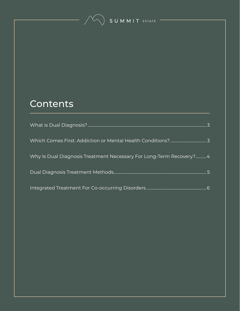SUMMIT ESTATE

#### **Contents**

| Why Is Dual Diagnosis Treatment Necessary For Long-Term Recovery? 4 |  |
|---------------------------------------------------------------------|--|
|                                                                     |  |
|                                                                     |  |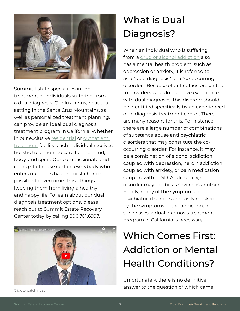<span id="page-2-0"></span>

Summit Estate specializes in the treatment of individuals suffering from a dual diagnosis. Our luxurious, beautiful setting in the Santa Cruz Mountains, as well as personalized treatment planning, can provide an ideal dual diagnosis treatment program in California. Whether in our exclusive [residential](https://www.summitestate.com/northern-california-drug-and-alcohol-rehab-programs/residential-treatment-program-ca/) or [outpatient](https://www.summitestate.com/northern-california-drug-and-alcohol-rehab-programs/iop-intensive-outpatient-program-ca/)  [treatment](https://www.summitestate.com/northern-california-drug-and-alcohol-rehab-programs/iop-intensive-outpatient-program-ca/) facility, each individual receives holistic treatment to care for the mind, body, and spirit. Our compassionate and caring staff make certain everybody who enters our doors has the best chance possible to overcome those things keeping them from living a healthy and happy life. To learn about our dual diagnosis treatment options, please reach out to Summit Estate Recovery Center today by calling 800.701.6997.



# What is Dual Diagnosis?

When an individual who is suffering from a [drug or alcohol addiction](https://www.summitestate.com/northern-california-addiction-treatment-center-programs/) also has a mental health problem, such as depression or anxiety, it is referred to as a "dual diagnosis" or a "co-occurring disorder." Because of difficulties presented to providers who do not have experience with dual diagnoses, this disorder should be identified specifically by an experienced dual diagnosis treatment center. There are many reasons for this. For instance, there are a large number of combinations of substance abuse and psychiatric disorders that may constitute the cooccurring disorder. For instance, it may be a combination of alcohol addiction coupled with depression, heroin addiction coupled with anxiety, or pain medication coupled with PTSD. Additionally, one disorder may not be as severe as another. Finally, many of the symptoms of psychiatric disorders are easily masked by the symptoms of the addiction. In such cases, a dual diagnosis treatment program in California is necessary.

# Which Comes First: Addiction or Mental Health Conditions?

Unfortunately, there is no definitive answer to the question of which came Click to watch video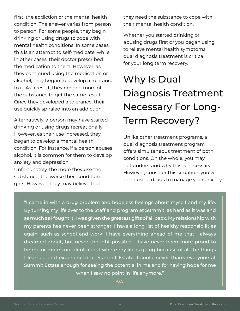<span id="page-3-0"></span>first, the addiction or the mental health condition. The answer varies from person to person. For some people, they begin drinking or using drugs to cope with mental health conditions. In some cases, this is an attempt to self-medicate, while in other cases, their doctor prescribed the medication to them. However, as they continued using the medication or alcohol, they began to develop a tolerance to it. As a result, they needed more of the substance to get the same result. Once they developed a tolerance, their use quickly spiraled into an addiction.

Alternatively, a person may have started drinking or using drugs recreationally. However, as their use increased, they began to develop a mental health condition. For instance, if a person abuses alcohol, it is common for them to develop anxiety and depression.

Unfortunately, the more they use the substance, the worse their condition gets. However, they may believe that

they need the substance to cope with their mental health condition.

Whether you started drinking or abusing drugs first or you began using to relieve mental health symptoms, dual diagnosis treatment is critical for your long term recovery.

# Why Is Dual Diagnosis Treatment Necessary For Long-Term Recovery?

Unlike other treatment programs, a dual diagnosis treatment program offers simultaneous treatment of both conditions. On the whole, you may not understand why this is necessary. However, consider this situation: you've been using drugs to manage your anxiety,

"I came in with a drug problem and hopeless feelings about myself and my life. By turning my life over to the Staff and program at Summit, as hard as it was and as much as I fought it, I was given the greatest gifts of all back. My relationship with my parents has never been stronger. I have a long list of healthy responsibilities again, such as school and work. I have everything ahead of me that I always dreamed about, but never thought possible. I have never been more proud to be me or more confident about where my life is going because of all the things I learned and experienced at Summit Estate. I could never thank everyone at Summit Estate enough for seeing the potential in me and for having hope for me when I saw no point in life anymore."

 $-G.S.$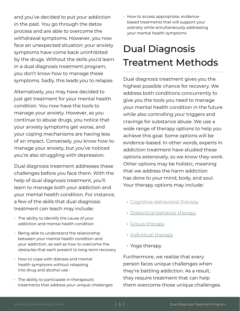<span id="page-4-0"></span>and you've decided to put your addiction in the past. You go through the detox process and are able to overcome the withdrawal symptoms. However, you now face an unexpected situation: your anxiety symptoms have come back uninhibited by the drugs. Without the skills you'd learn in a dual diagnosis treatment program, you don't know how to manage these symptoms. Sadly, this leads you to relapse.

Alternatively, you may have decided to just get treatment for your mental health condition. You now have the tools to manage your anxiety. However, as you continue to abuse drugs, you notice that your anxiety symptoms get worse, and your coping mechanisms are having less of an impact. Conversely, you know how to manage your anxiety, but you've noticed you're also struggling with depression.

Dual diagnosis treatment addresses these challenges before you face them. With the help of dual diagnosis treatment, you'll learn to manage both your addiction and your mental health condition. For instance, a few of the skills that dual diagnosis treatment can teach may include:

- The ability to identify the cause of your addiction and mental health condition
- Being able to understand the relationship between your mental health condition and your addiction, as well as how to overcome the obstacles that each present to long-term recovery
- How to cope with distress and mental health symptoms without relapsing into drug and alcohol use
- The ability to participate in therapeutic treatments that address your unique challenges

• How to access appropriate, evidencebased treatments that will support your sobriety while simultaneously addressing your mental health symptoms

### Dual Diagnosis Treatment Methods

Dual diagnosis treatment gives you the highest possible chance for recovery. We address both conditions concurrently to give you the tools you need to manage your mental health condition in the future while also controlling your triggers and cravings for substance abuse. We use a wide range of therapy options to help you achieve this goal. Some options will be evidence-based. In other words, experts in addiction treatment have studied these options extensively, so we know they work. Other options may be holistic, meaning that we address the harm addiction has done to your mind, body, and soul. Your therapy options may include:

- [Cognitive-behavioral therapy](https://www.summitestate.com/northern-california-addiction-treatment-therapies/cognitive-behavioral-therapy/)
- [Dialectical behavior therapy](https://www.summitestate.com/northern-california-addiction-treatment-therapies/dialectical-behavior-therapy/)
- [Group therapy](https://www.summitestate.com/northern-california-addiction-treatment-therapies/group-therapy/)
- [Individual therapy](https://www.summitestate.com/northern-california-addiction-treatment-therapies/individual-therapy-program-ca/)
- Yoga therapy

Furthermore, we realize that every person faces unique challenges when they're battling addiction. As a result, they require treatment that can help them overcome those unique challenges.